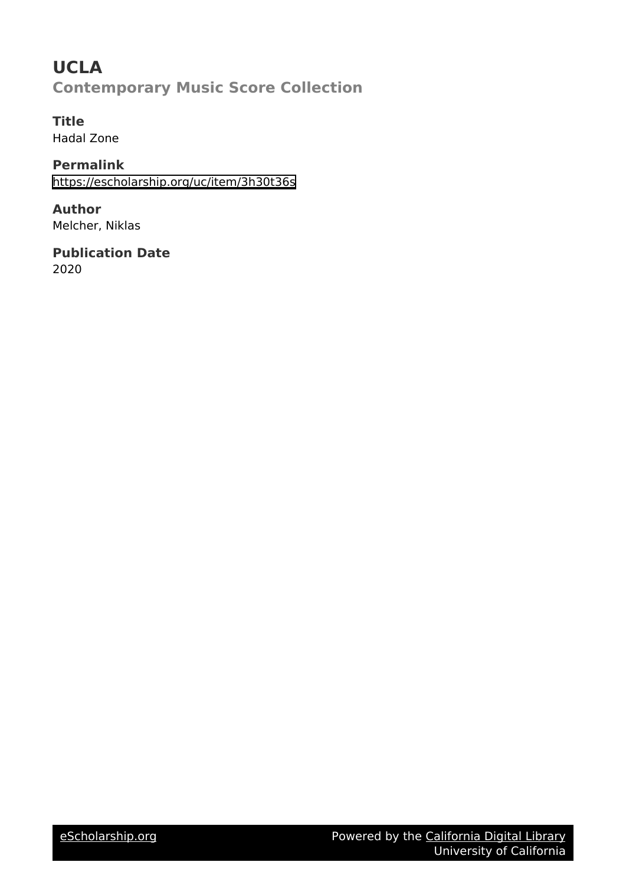#### **UCLA Contemporary Music Score Collection**

**Title** Hadal Zone

**Permalink** <https://escholarship.org/uc/item/3h30t36s>

**Author** Melcher, Niklas

**Publication Date** 2020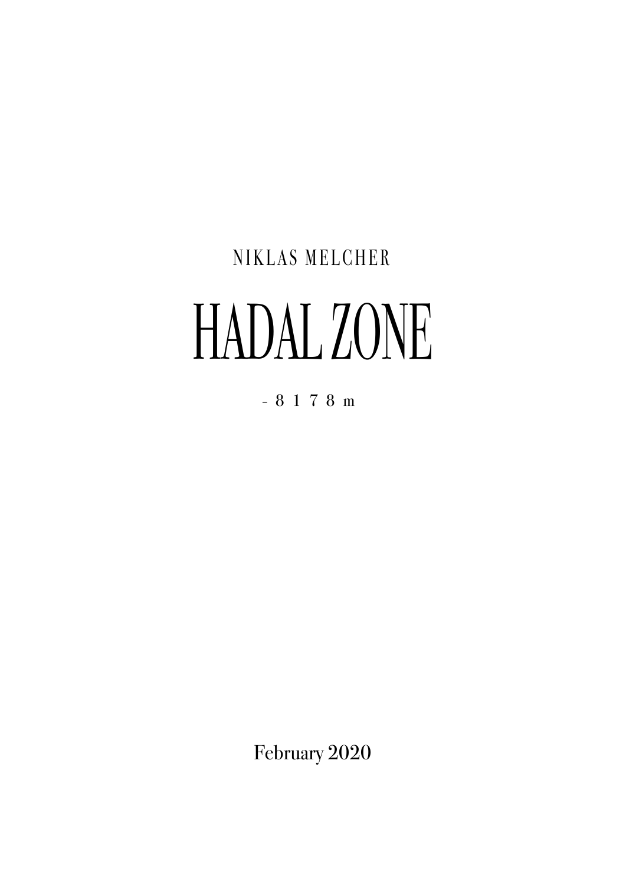# NIKLAS MELCHER HADAL ZONE

 $-8178 m$ 

February 2020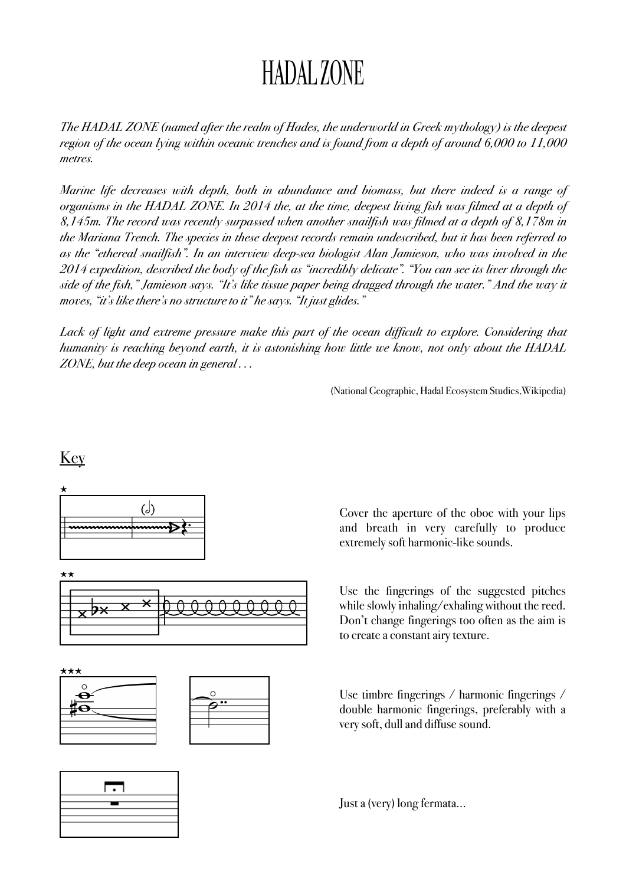### **HADALZONE**

*The HADAL ZONE (named after the realm of Hades, the underworld in Greek mythology) is the deepest region of the ocean lying within oceanic trenches and is found from a depth of around 6,000 to 11,000 metres.* 

*Marine life decreases with depth, both in abundance and biomass, but there indeed is a range of organisms in the HADAL ZONE. In 2014 the, at the time, deepest living fish was filmed at a depth of 8,145m. The record was recently surpassed when another snailfish was filmed at a depth of 8,178m in the Mariana Trench. The species in these deepest records remain undescribed, but it has been referred to as the "ethereal snailfish". In an interview deep-sea biologist Alan Jamieson, who was involved in the 2014 expedition, described the body of the fish as "incredibly delicate". "You can see its liver through the side of the fish," Jamieson says. "It's like tissue paper being dragged through the water." And the way it moves, "it's like there's no structure to it" he says. "It just glides."* 

Lack of light and extreme pressure make this part of the ocean difficult to explore. Considering that *humanity is reaching beyond earth, it is astonishing how little we know, not only about the HADAL ZONE, but the deep ocean in general . . .*

(National Geographic, Hadal Ecosystem Studies,Wikipedia)

#### Key





\*\*\*





Cover the aperture of the oboe with your lips and breath in very carefully to produce extremely soft harmonic-like sounds.

Use the fingerings of the suggested pitches while slowly inhaling/exhaling without the reed. Don't change fingerings too often as the aim is to create a constant airy texture.

Use timbre fingerings / harmonic fingerings / double harmonic fingerings, preferably with a very soft, dull and diffuse sound.

Just a (very) long fermata…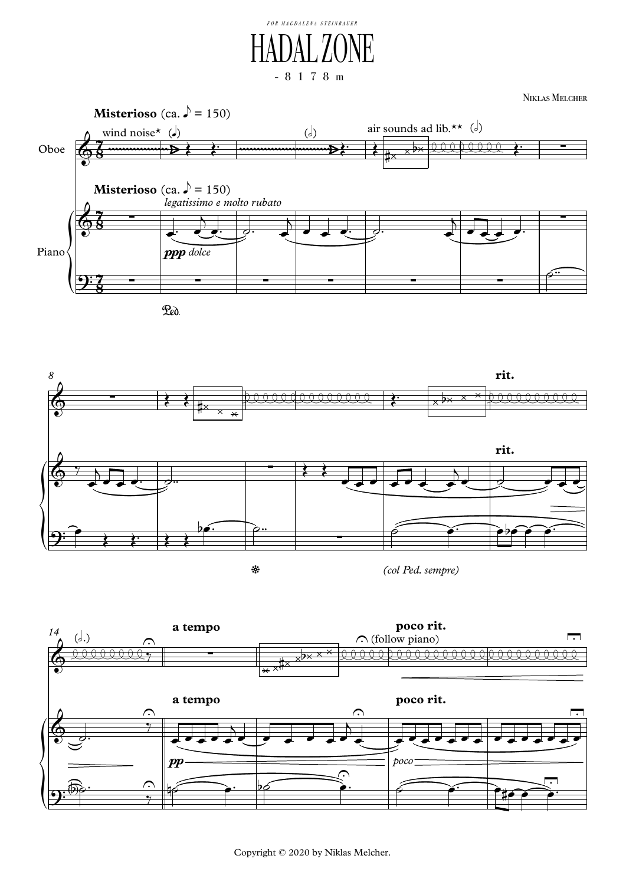

**NIKLAS MELCHER** 





⋇

(col Ped. sempre)

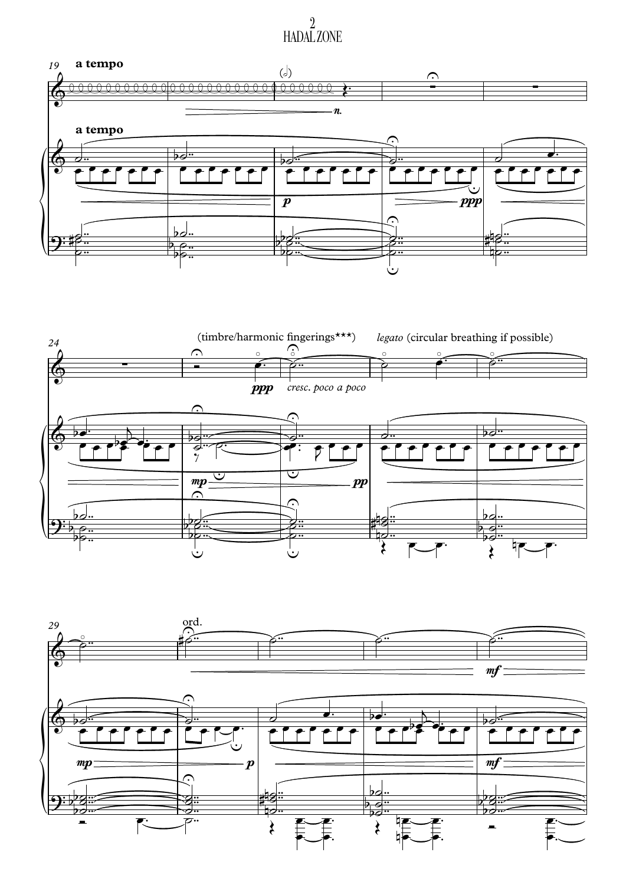$\frac{2}{2}$ HADALZONE

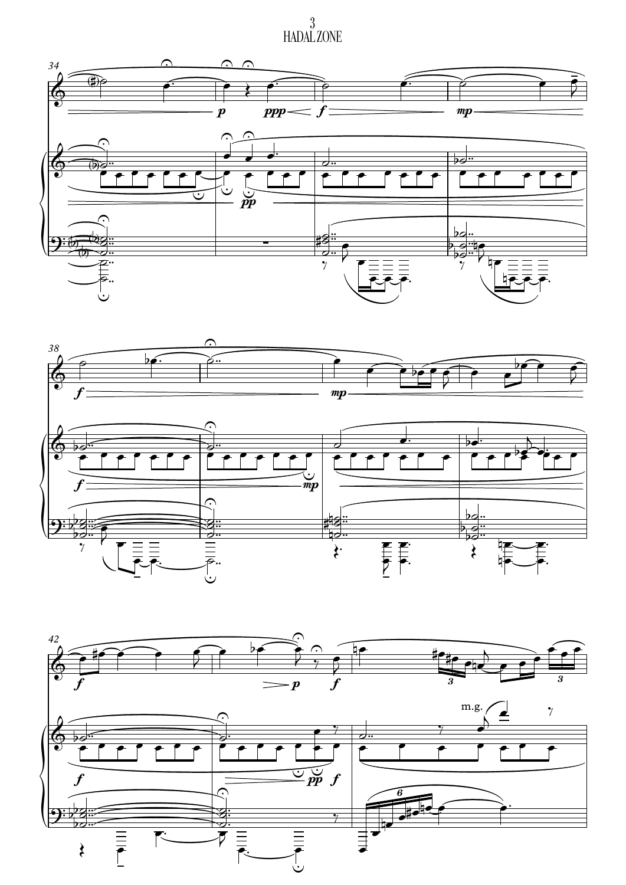## $\frac{3}{14}$  HADAL ZONE





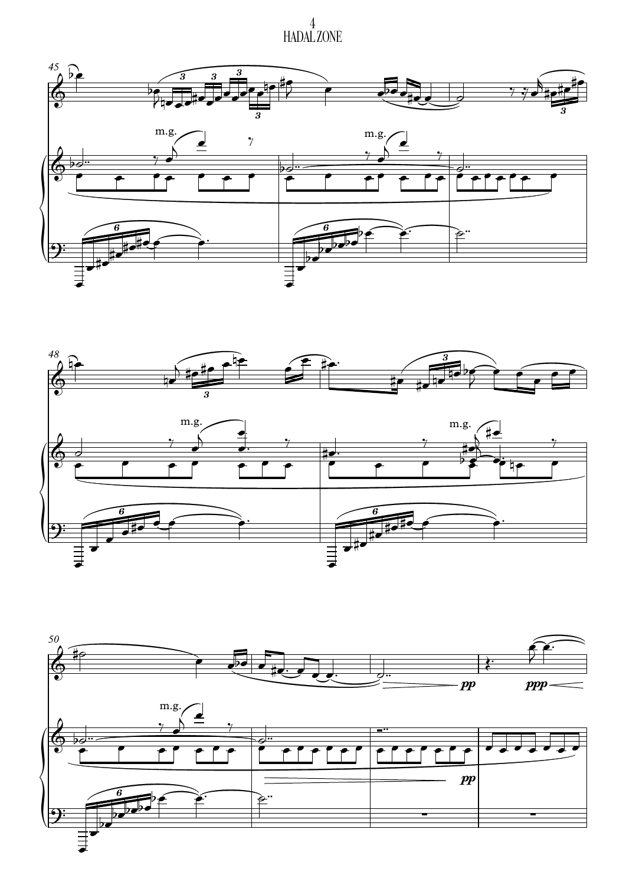HADAL ZONE





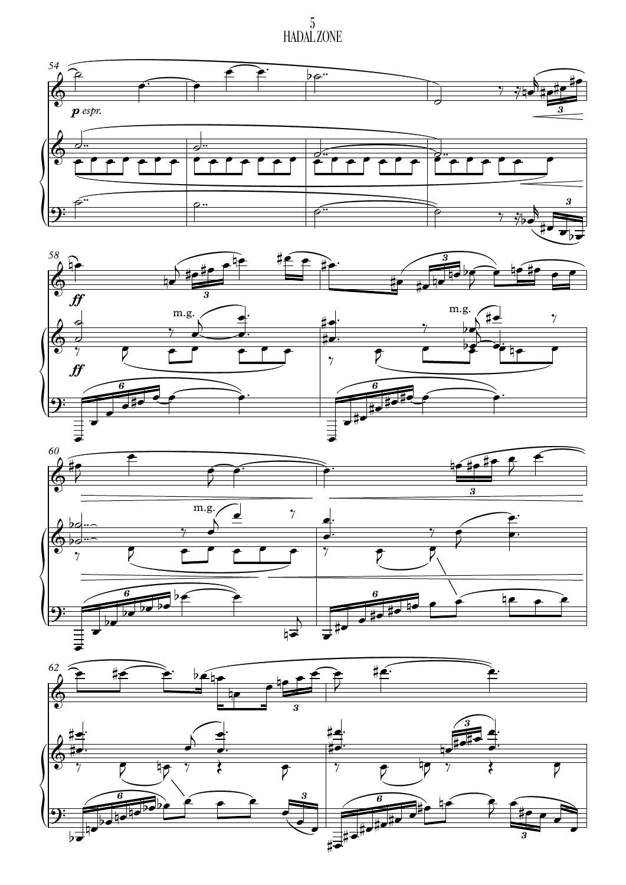$\frac{5}{2}$  HADAL ZONE

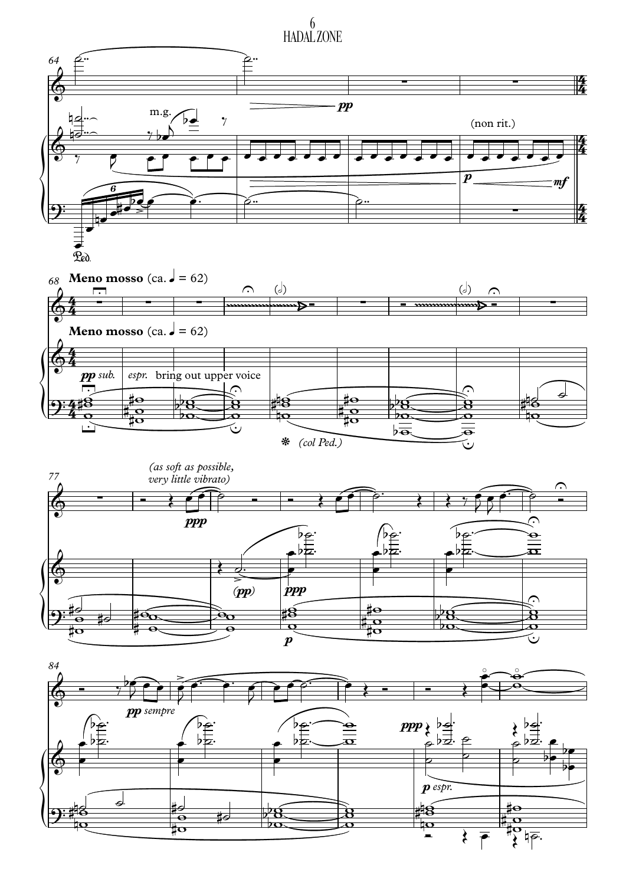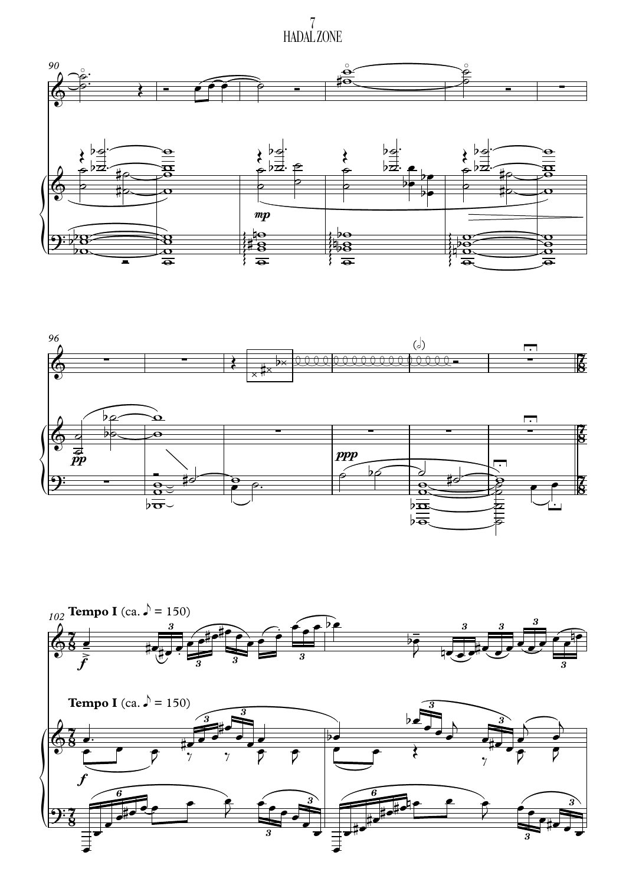$\frac{7}{14}$  HADAL ZONE





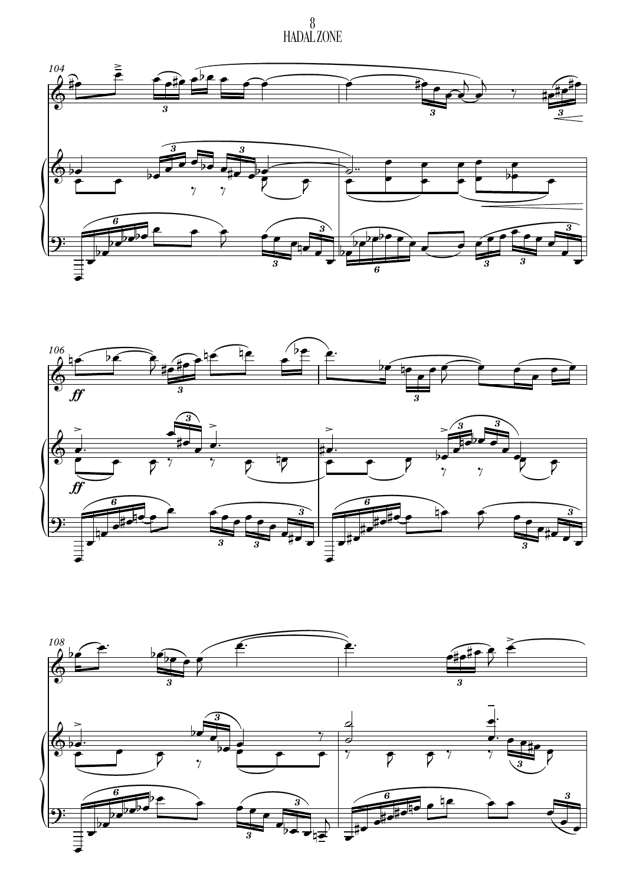$\begin{array}{c} 8 \\ \text{HADAL ZONE} \end{array}$